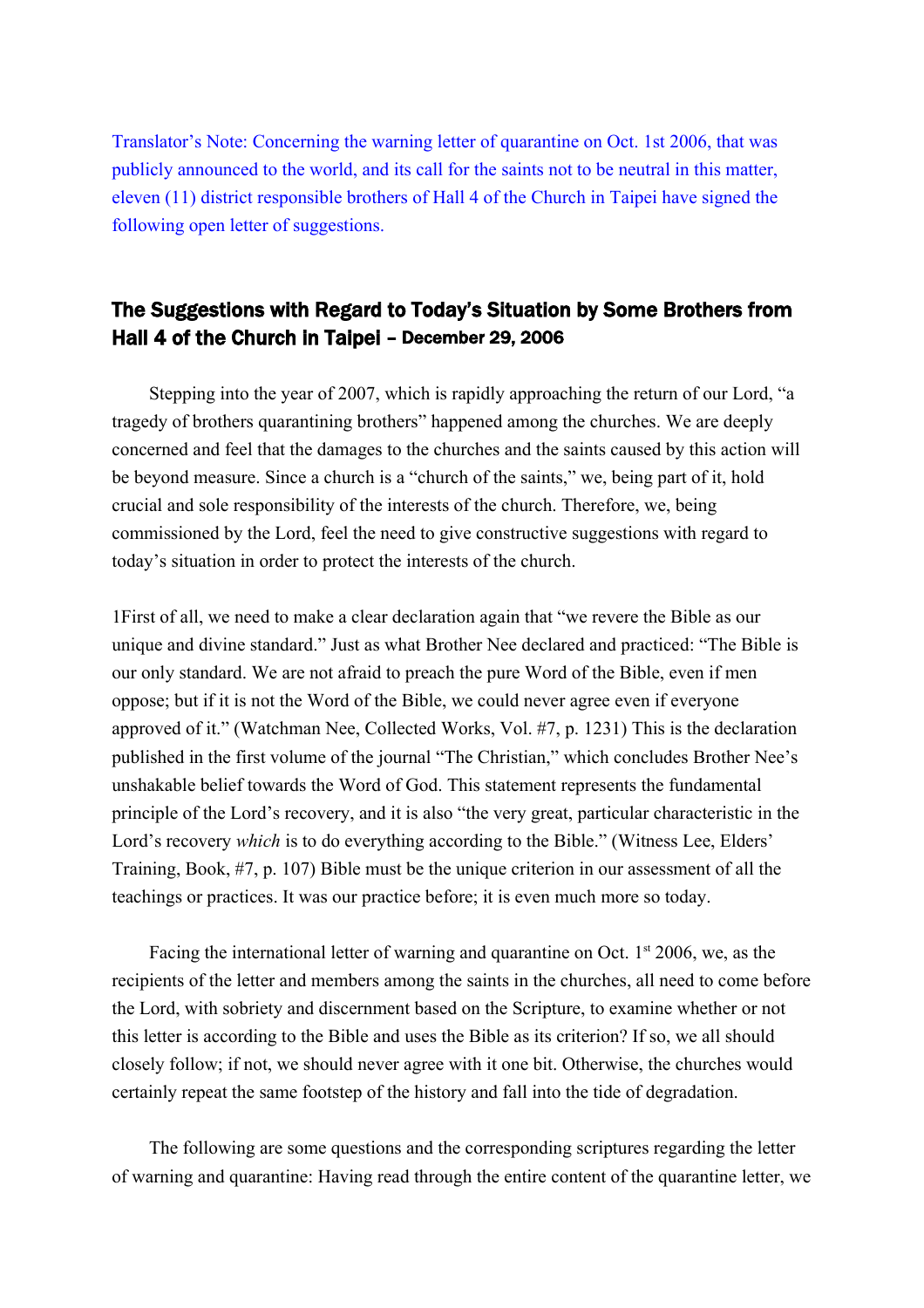Translator's Note: Concerning the warning letter of quarantine on Oct. 1st 2006, that was publicly announced to the world, and its call for the saints not to be neutral in this matter, eleven (11) district responsible brothers of Hall 4 of the Church in Taipei have signed the following open letter of suggestions.

# The Suggestions with Regard to Today's Situation by Some Brothers from Hall 4 of the Church in Taipei – December 29, 2006

Stepping into the year of 2007, which is rapidly approaching the return of our Lord, "a tragedy of brothers quarantining brothers" happened among the churches. We are deeply concerned and feel that the damages to the churches and the saints caused by this action will be beyond measure. Since a church is a "church of the saints," we, being part of it, hold crucial and sole responsibility of the interests of the church. Therefore, we, being commissioned by the Lord, feel the need to give constructive suggestions with regard to today's situation in order to protect the interests of the church.

1First of all, we need to make a clear declaration again that "we revere the Bible as our unique and divine standard." Just as what Brother Nee declared and practiced: "The Bible is our only standard. We are not afraid to preach the pure Word of the Bible, even if men oppose; but if it is not the Word of the Bible, we could never agree even if everyone approved of it." (Watchman Nee, Collected Works, Vol. #7, p. 1231) This is the declaration published in the first volume of the journal "The Christian," which concludes Brother Nee's unshakable belief towards the Word of God. This statement represents the fundamental principle of the Lord's recovery, and it is also "the very great, particular characteristic in the Lord's recovery *which* is to do everything according to the Bible." (Witness Lee, Elders' Training, Book, #7, p. 107) Bible must be the unique criterion in our assessment of all the teachings or practices. It was our practice before; it is even much more so today.

Facing the international letter of warning and quarantine on Oct.  $1<sup>st</sup>$  2006, we, as the recipients of the letter and members among the saints in the churches, all need to come before the Lord, with sobriety and discernment based on the Scripture, to examine whether or not this letter is according to the Bible and uses the Bible as its criterion? If so, we all should closely follow; if not, we should never agree with it one bit. Otherwise, the churches would certainly repeat the same footstep of the history and fall into the tide of degradation.

The following are some questions and the corresponding scriptures regarding the letter of warning and quarantine: Having read through the entire content of the quarantine letter, we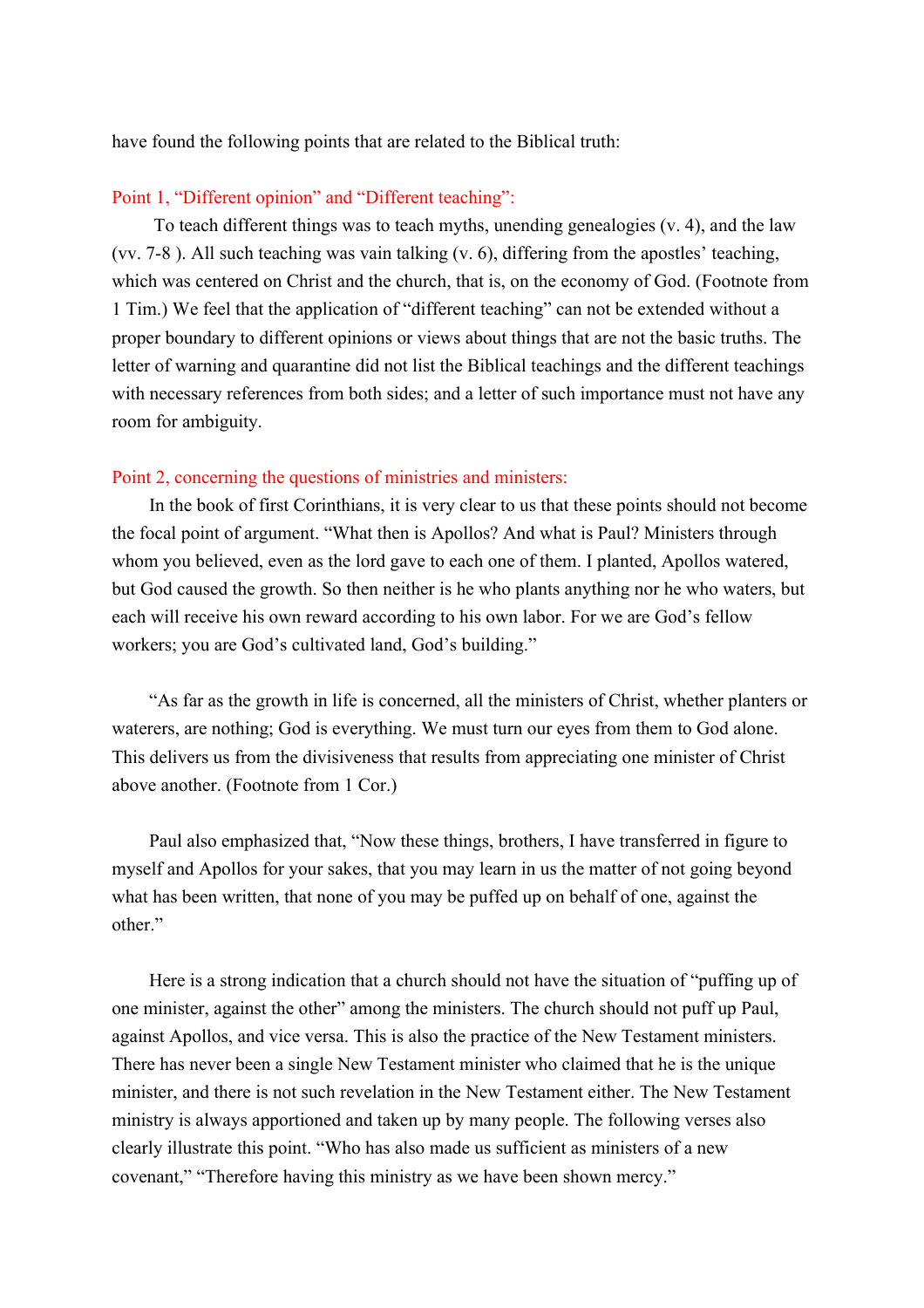have found the following points that are related to the Biblical truth:

## Point 1, "Different opinion" and "Different teaching":

 To teach different things was to teach myths, unending genealogies (v. 4), and the law (vv. 7-8 ). All such teaching was vain talking (v. 6), differing from the apostles' teaching, which was centered on Christ and the church, that is, on the economy of God. (Footnote from 1 Tim.) We feel that the application of "different teaching" can not be extended without a proper boundary to different opinions or views about things that are not the basic truths. The letter of warning and quarantine did not list the Biblical teachings and the different teachings with necessary references from both sides; and a letter of such importance must not have any room for ambiguity.

#### Point 2, concerning the questions of ministries and ministers:

In the book of first Corinthians, it is very clear to us that these points should not become the focal point of argument. "What then is Apollos? And what is Paul? Ministers through whom you believed, even as the lord gave to each one of them. I planted, Apollos watered, but God caused the growth. So then neither is he who plants anything nor he who waters, but each will receive his own reward according to his own labor. For we are God's fellow workers; you are God's cultivated land, God's building."

"As far as the growth in life is concerned, all the ministers of Christ, whether planters or waterers, are nothing; God is everything. We must turn our eyes from them to God alone. This delivers us from the divisiveness that results from appreciating one minister of Christ above another. (Footnote from 1 Cor.)

Paul also emphasized that, "Now these things, brothers, I have transferred in figure to myself and Apollos for your sakes, that you may learn in us the matter of not going beyond what has been written, that none of you may be puffed up on behalf of one, against the other."

Here is a strong indication that a church should not have the situation of "puffing up of one minister, against the other" among the ministers. The church should not puff up Paul, against Apollos, and vice versa. This is also the practice of the New Testament ministers. There has never been a single New Testament minister who claimed that he is the unique minister, and there is not such revelation in the New Testament either. The New Testament ministry is always apportioned and taken up by many people. The following verses also clearly illustrate this point. "Who has also made us sufficient as ministers of a new covenant," "Therefore having this ministry as we have been shown mercy."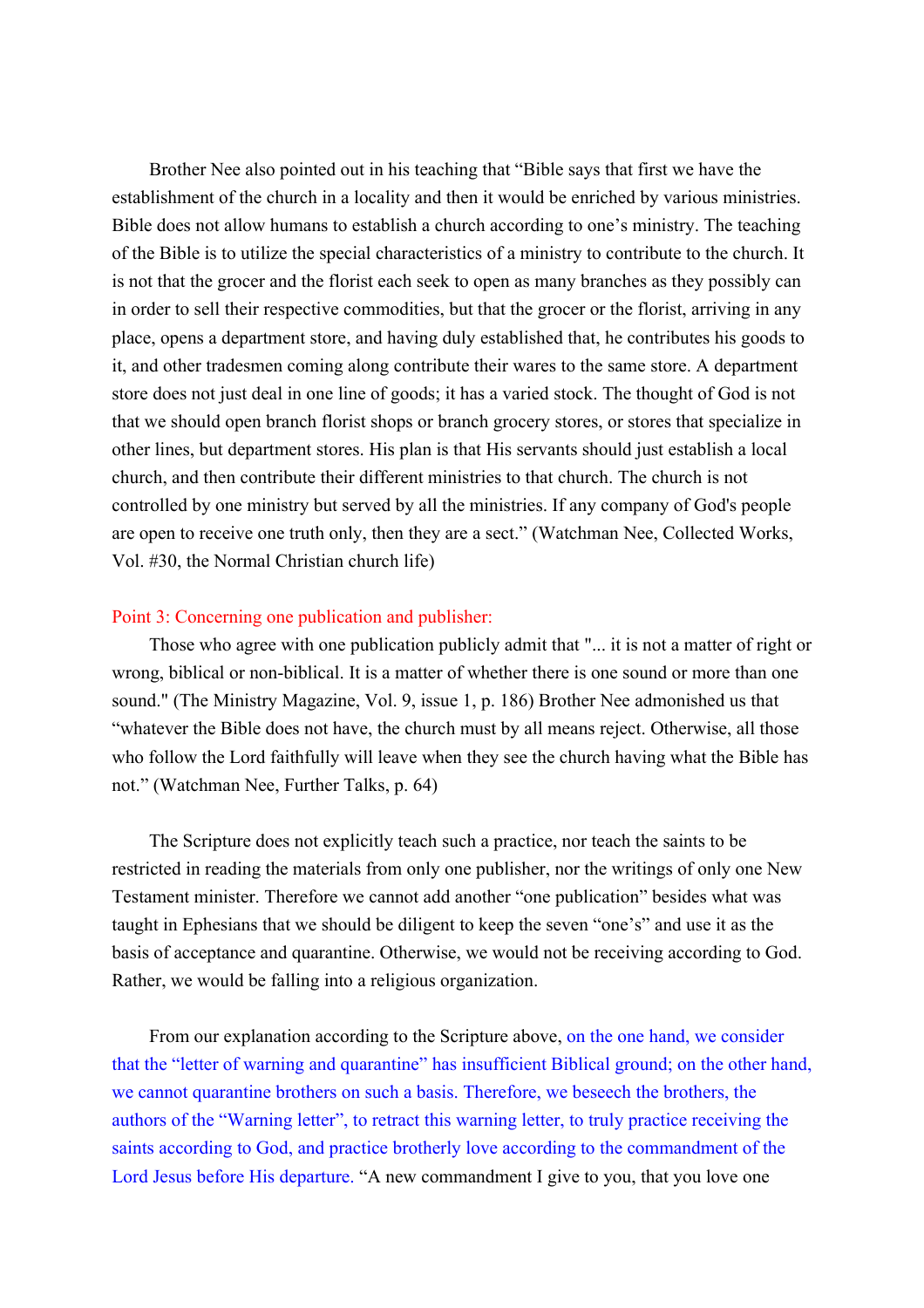Brother Nee also pointed out in his teaching that "Bible says that first we have the establishment of the church in a locality and then it would be enriched by various ministries. Bible does not allow humans to establish a church according to one's ministry. The teaching of the Bible is to utilize the special characteristics of a ministry to contribute to the church. It is not that the grocer and the florist each seek to open as many branches as they possibly can in order to sell their respective commodities, but that the grocer or the florist, arriving in any place, opens a department store, and having duly established that, he contributes his goods to it, and other tradesmen coming along contribute their wares to the same store. A department store does not just deal in one line of goods; it has a varied stock. The thought of God is not that we should open branch florist shops or branch grocery stores, or stores that specialize in other lines, but department stores. His plan is that His servants should just establish a local church, and then contribute their different ministries to that church. The church is not controlled by one ministry but served by all the ministries. If any company of God's people are open to receive one truth only, then they are a sect." (Watchman Nee, Collected Works, Vol. #30, the Normal Christian church life)

### Point 3: Concerning one publication and publisher:

Those who agree with one publication publicly admit that "... it is not a matter of right or wrong, biblical or non-biblical. It is a matter of whether there is one sound or more than one sound." (The Ministry Magazine, Vol. 9, issue 1, p. 186) Brother Nee admonished us that "whatever the Bible does not have, the church must by all means reject. Otherwise, all those who follow the Lord faithfully will leave when they see the church having what the Bible has not." (Watchman Nee, Further Talks, p. 64)

The Scripture does not explicitly teach such a practice, nor teach the saints to be restricted in reading the materials from only one publisher, nor the writings of only one New Testament minister. Therefore we cannot add another "one publication" besides what was taught in Ephesians that we should be diligent to keep the seven "one's" and use it as the basis of acceptance and quarantine. Otherwise, we would not be receiving according to God. Rather, we would be falling into a religious organization.

From our explanation according to the Scripture above, on the one hand, we consider that the "letter of warning and quarantine" has insufficient Biblical ground; on the other hand, we cannot quarantine brothers on such a basis. Therefore, we beseech the brothers, the authors of the "Warning letter", to retract this warning letter, to truly practice receiving the saints according to God, and practice brotherly love according to the commandment of the Lord Jesus before His departure. "A new commandment I give to you, that you love one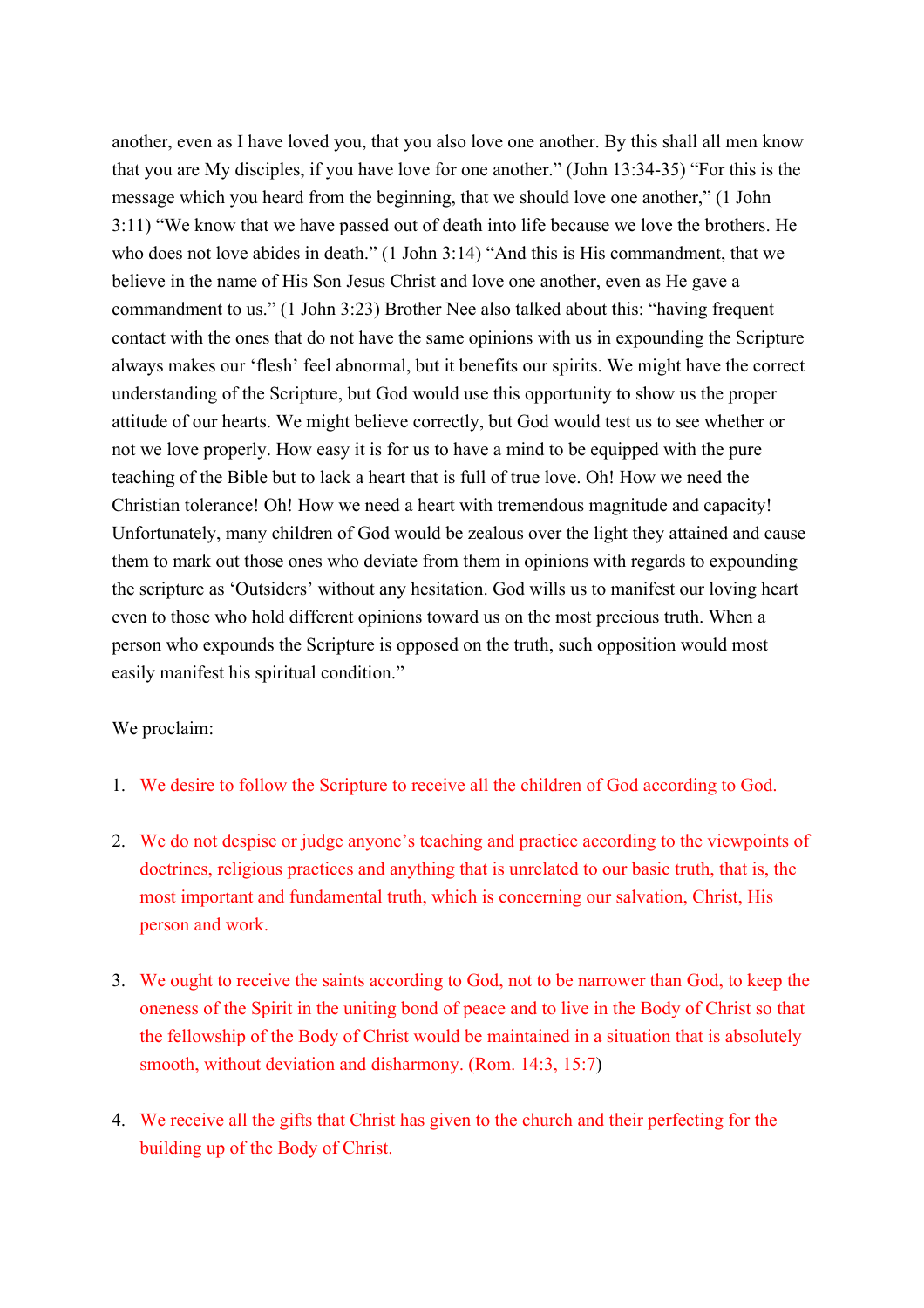another, even as I have loved you, that you also love one another. By this shall all men know that you are My disciples, if you have love for one another." (John 13:34-35) "For this is the message which you heard from the beginning, that we should love one another," (1 John 3:11) "We know that we have passed out of death into life because we love the brothers. He who does not love abides in death." (1 John 3:14) "And this is His commandment, that we believe in the name of His Son Jesus Christ and love one another, even as He gave a commandment to us." (1 John 3:23) Brother Nee also talked about this: "having frequent contact with the ones that do not have the same opinions with us in expounding the Scripture always makes our 'flesh' feel abnormal, but it benefits our spirits. We might have the correct understanding of the Scripture, but God would use this opportunity to show us the proper attitude of our hearts. We might believe correctly, but God would test us to see whether or not we love properly. How easy it is for us to have a mind to be equipped with the pure teaching of the Bible but to lack a heart that is full of true love. Oh! How we need the Christian tolerance! Oh! How we need a heart with tremendous magnitude and capacity! Unfortunately, many children of God would be zealous over the light they attained and cause them to mark out those ones who deviate from them in opinions with regards to expounding the scripture as 'Outsiders' without any hesitation. God wills us to manifest our loving heart even to those who hold different opinions toward us on the most precious truth. When a person who expounds the Scripture is opposed on the truth, such opposition would most easily manifest his spiritual condition."

## We proclaim:

- 1. We desire to follow the Scripture to receive all the children of God according to God.
- 2. We do not despise or judge anyone's teaching and practice according to the viewpoints of doctrines, religious practices and anything that is unrelated to our basic truth, that is, the most important and fundamental truth, which is concerning our salvation, Christ, His person and work.
- 3. We ought to receive the saints according to God, not to be narrower than God, to keep the oneness of the Spirit in the uniting bond of peace and to live in the Body of Christ so that the fellowship of the Body of Christ would be maintained in a situation that is absolutely smooth, without deviation and disharmony. (Rom. 14:3, 15:7)
- 4. We receive all the gifts that Christ has given to the church and their perfecting for the building up of the Body of Christ.